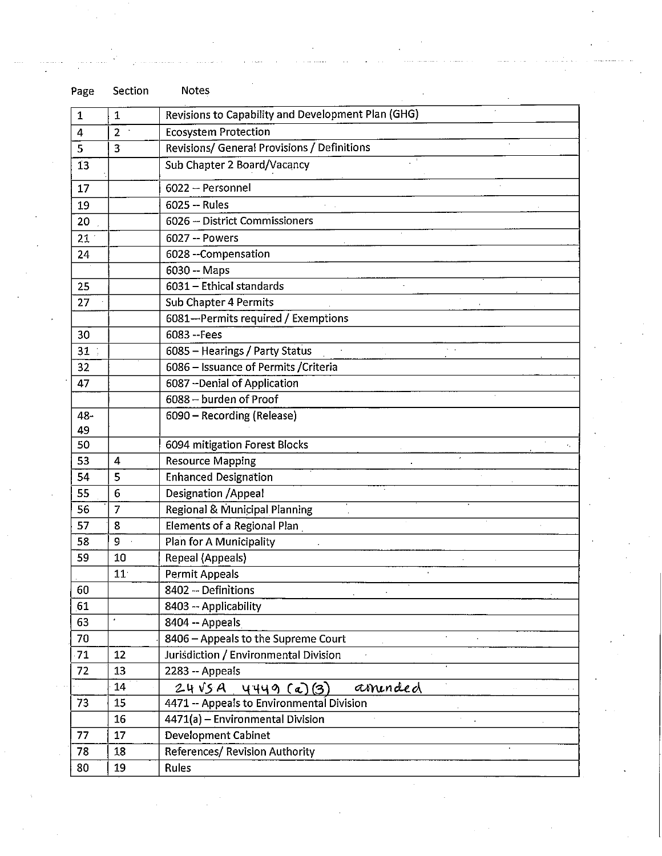| Page            | Section         | Notes                                              |  |  |  |  |
|-----------------|-----------------|----------------------------------------------------|--|--|--|--|
| 1               | $\mathbf{1}$    | Revisions to Capability and Development Plan (GHG) |  |  |  |  |
| 4               | $\overline{2}$  | <b>Ecosystem Protection</b>                        |  |  |  |  |
| 5               | 3               | Revisions/ General Provisions / Definitions        |  |  |  |  |
| 13              |                 | Sub Chapter 2 Board/Vacancy                        |  |  |  |  |
| 17              |                 | 6022 -- Personnel                                  |  |  |  |  |
| 19              |                 | 6025 -- Rules                                      |  |  |  |  |
| 20              |                 | 6026 -- District Commissioners                     |  |  |  |  |
| 21 <sup>2</sup> |                 | 6027 -- Powers                                     |  |  |  |  |
| 24              |                 | 6028 -- Compensation                               |  |  |  |  |
|                 |                 | 6030 -- Maps                                       |  |  |  |  |
| 25              |                 | 6031 - Ethical standards                           |  |  |  |  |
| 27              |                 | Sub Chapter 4 Permits                              |  |  |  |  |
|                 |                 | 6081-Permits required / Exemptions                 |  |  |  |  |
| 30              |                 | 6083 -- Fees                                       |  |  |  |  |
| 31              |                 | 6085 - Hearings / Party Status                     |  |  |  |  |
| 32              |                 | 6086 - Issuance of Permits / Criteria              |  |  |  |  |
| 47              |                 | 6087 - Denial of Application                       |  |  |  |  |
|                 |                 | 6088 - burden of Proof                             |  |  |  |  |
| 48-             |                 | 6090 - Recording (Release)                         |  |  |  |  |
| 49              |                 |                                                    |  |  |  |  |
| 50              |                 | 6094 mitigation Forest Blocks                      |  |  |  |  |
| 53              | 4               | <b>Resource Mapping</b>                            |  |  |  |  |
| 54              | 5               | <b>Enhanced Designation</b>                        |  |  |  |  |
| 55              | 6               | Designation / Appeal                               |  |  |  |  |
| 56              | 7               | Regional & Municipal Planning                      |  |  |  |  |
| 57              | 8               | Elements of a Regional Plan                        |  |  |  |  |
| 58              | 9               | Plan for A Municipality                            |  |  |  |  |
| 59              | 10              | <b>Repeal (Appeals)</b>                            |  |  |  |  |
|                 | 11 <sub>1</sub> | Permit Appeals                                     |  |  |  |  |
| 60              |                 | 8402 - Definitions                                 |  |  |  |  |
| 61              |                 | 8403 -- Applicability                              |  |  |  |  |
| 63              | $\pmb{\cdot}$   | 8404 -- Appeals                                    |  |  |  |  |
| 70              |                 | 8406 - Appeals to the Supreme Court                |  |  |  |  |
| 71              | 12              | Jurisdiction / Environmental Division<br>$\sim$    |  |  |  |  |
| 72              | 13              | 2283 -- Appeals                                    |  |  |  |  |
|                 | 14              | aminded<br>$24\sqrt{5}A$ , 4449 (a)(3)             |  |  |  |  |
| 73              | 15              | 4471 -- Appeals to Environmental Division          |  |  |  |  |
|                 | 16              | 4471(a) - Environmental Division                   |  |  |  |  |
| 77              | 17              | Development Cabinet                                |  |  |  |  |
| 78              | 18              | References/ Revision Authority                     |  |  |  |  |
| 80              | 19              | Rules                                              |  |  |  |  |

 $\sim 10^{11}$ 

 $\beta$  , and the second  $\beta$ 

. . . . . . . . . . . . . .

 $\mathcal{L}^{\text{max}}_{\text{max}}$ 

 $\bar{\star}$ 

.<br>. . . . . .

 $\frac{1}{2}$